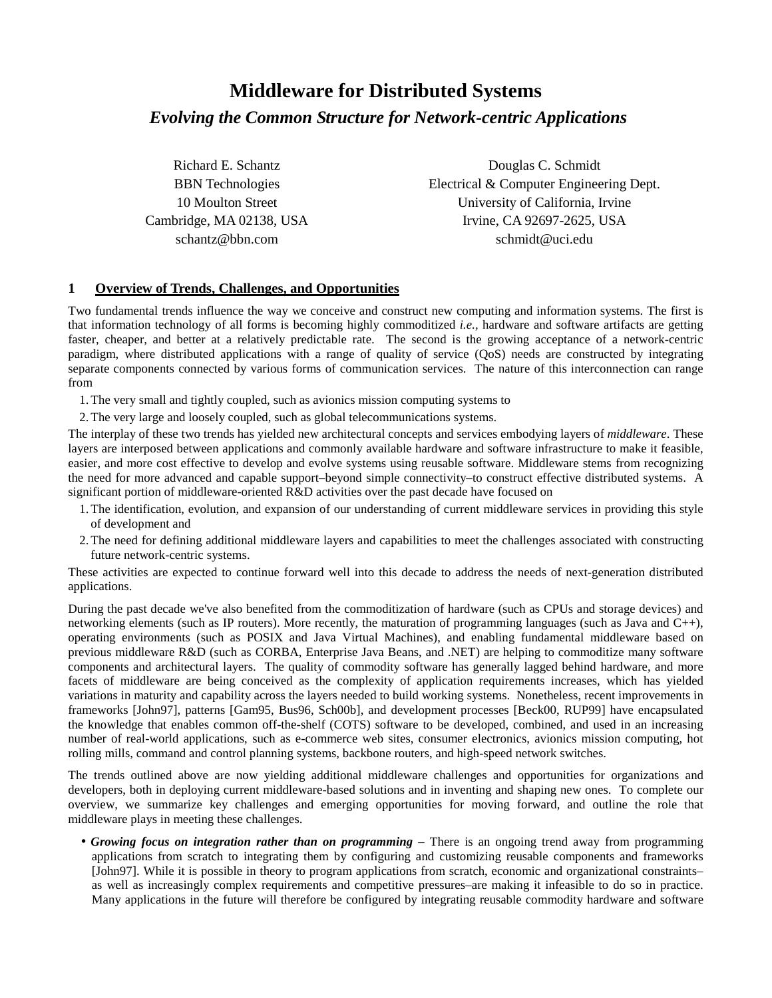# **Middleware for Distributed Systems**  *Evolving the Common Structure for Network-centric Applications*

Richard E. Schantz BBN Technologies 10 Moulton Street Cambridge, MA 02138, USA schantz@bbn.com

Douglas C. Schmidt Electrical & Computer Engineering Dept. University of California, Irvine Irvine, CA 92697-2625, USA schmidt@uci.edu

# **1 Overview of Trends, Challenges, and Opportunities**

Two fundamental trends influence the way we conceive and construct new computing and information systems. The first is that information technology of all forms is becoming highly commoditized *i.e.,* hardware and software artifacts are getting faster, cheaper, and better at a relatively predictable rate. The second is the growing acceptance of a network-centric paradigm, where distributed applications with a range of quality of service (QoS) needs are constructed by integrating separate components connected by various forms of communication services. The nature of this interconnection can range from

1. The very small and tightly coupled, such as avionics mission computing systems to

2. The very large and loosely coupled, such as global telecommunications systems.

The interplay of these two trends has yielded new architectural concepts and services embodying layers of *middleware*. These layers are interposed between applications and commonly available hardware and software infrastructure to make it feasible, easier, and more cost effective to develop and evolve systems using reusable software. Middleware stems from recognizing the need for more advanced and capable support–beyond simple connectivity–to construct effective distributed systems. A significant portion of middleware-oriented R&D activities over the past decade have focused on

- 1. The identification, evolution, and expansion of our understanding of current middleware services in providing this style of development and
- 2. The need for defining additional middleware layers and capabilities to meet the challenges associated with constructing future network-centric systems.

These activities are expected to continue forward well into this decade to address the needs of next-generation distributed applications.

During the past decade we've also benefited from the commoditization of hardware (such as CPUs and storage devices) and networking elements (such as IP routers). More recently, the maturation of programming languages (such as Java and C++), operating environments (such as POSIX and Java Virtual Machines), and enabling fundamental middleware based on previous middleware R&D (such as CORBA, Enterprise Java Beans, and .NET) are helping to commoditize many software components and architectural layers. The quality of commodity software has generally lagged behind hardware, and more facets of middleware are being conceived as the complexity of application requirements increases, which has yielded variations in maturity and capability across the layers needed to build working systems. Nonetheless, recent improvements in frameworks [John97], patterns [Gam95, Bus96, Sch00b], and development processes [Beck00, RUP99] have encapsulated the knowledge that enables common off-the-shelf (COTS) software to be developed, combined, and used in an increasing number of real-world applications, such as e-commerce web sites, consumer electronics, avionics mission computing, hot rolling mills, command and control planning systems, backbone routers, and high-speed network switches.

The trends outlined above are now yielding additional middleware challenges and opportunities for organizations and developers, both in deploying current middleware-based solutions and in inventing and shaping new ones. To complete our overview, we summarize key challenges and emerging opportunities for moving forward, and outline the role that middleware plays in meeting these challenges.

• *Growing focus on integration rather than on programming* – There is an ongoing trend away from programming applications from scratch to integrating them by configuring and customizing reusable components and frameworks [John97]. While it is possible in theory to program applications from scratch, economic and organizational constraints– as well as increasingly complex requirements and competitive pressures–are making it infeasible to do so in practice. Many applications in the future will therefore be configured by integrating reusable commodity hardware and software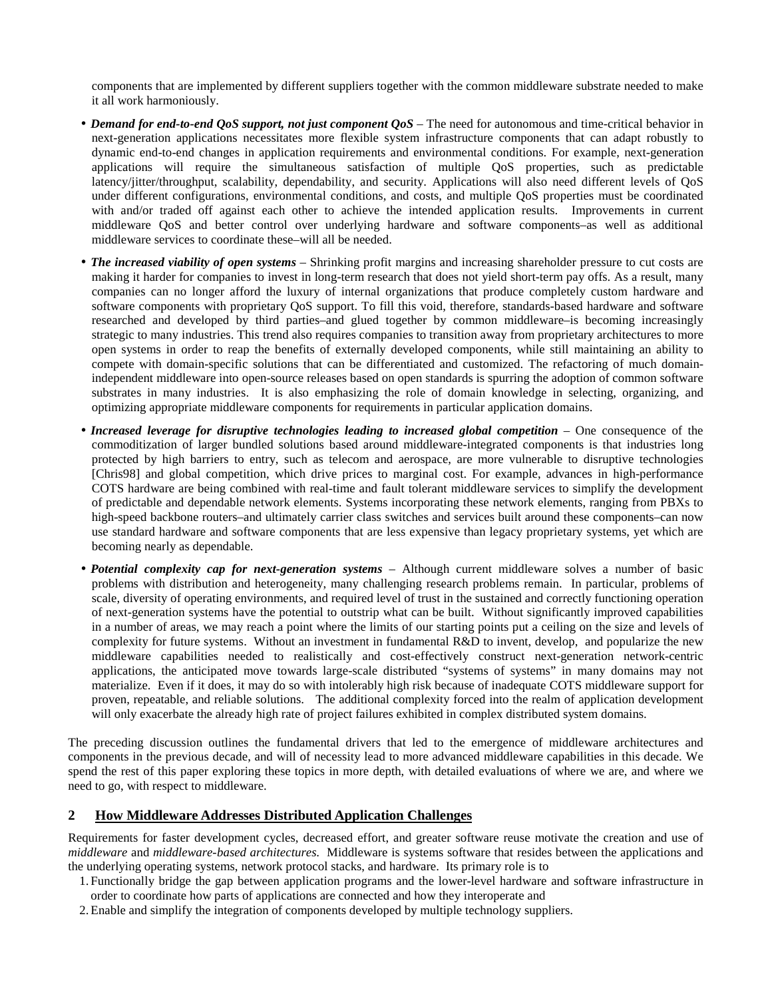components that are implemented by different suppliers together with the common middleware substrate needed to make it all work harmoniously.

- *Demand for end-to-end QoS support, not just component QoS* The need for autonomous and time-critical behavior in next-generation applications necessitates more flexible system infrastructure components that can adapt robustly to dynamic end-to-end changes in application requirements and environmental conditions. For example, next-generation applications will require the simultaneous satisfaction of multiple QoS properties, such as predictable latency/jitter/throughput, scalability, dependability, and security. Applications will also need different levels of QoS under different configurations, environmental conditions, and costs, and multiple QoS properties must be coordinated with and/or traded off against each other to achieve the intended application results. Improvements in current middleware QoS and better control over underlying hardware and software components–as well as additional middleware services to coordinate these–will all be needed.
- *The increased viability of open systems* Shrinking profit margins and increasing shareholder pressure to cut costs are making it harder for companies to invest in long-term research that does not yield short-term pay offs. As a result, many companies can no longer afford the luxury of internal organizations that produce completely custom hardware and software components with proprietary QoS support. To fill this void, therefore, standards-based hardware and software researched and developed by third parties–and glued together by common middleware–is becoming increasingly strategic to many industries. This trend also requires companies to transition away from proprietary architectures to more open systems in order to reap the benefits of externally developed components, while still maintaining an ability to compete with domain-specific solutions that can be differentiated and customized. The refactoring of much domainindependent middleware into open-source releases based on open standards is spurring the adoption of common software substrates in many industries. It is also emphasizing the role of domain knowledge in selecting, organizing, and optimizing appropriate middleware components for requirements in particular application domains.
- *Increased leverage for disruptive technologies leading to increased global competition* One consequence of the commoditization of larger bundled solutions based around middleware-integrated components is that industries long protected by high barriers to entry, such as telecom and aerospace, are more vulnerable to disruptive technologies [Chris98] and global competition, which drive prices to marginal cost. For example, advances in high-performance COTS hardware are being combined with real-time and fault tolerant middleware services to simplify the development of predictable and dependable network elements. Systems incorporating these network elements, ranging from PBXs to high-speed backbone routers–and ultimately carrier class switches and services built around these components–can now use standard hardware and software components that are less expensive than legacy proprietary systems, yet which are becoming nearly as dependable.
- *Potential complexity cap for next-generation systems* Although current middleware solves a number of basic problems with distribution and heterogeneity, many challenging research problems remain. In particular, problems of scale, diversity of operating environments, and required level of trust in the sustained and correctly functioning operation of next-generation systems have the potential to outstrip what can be built. Without significantly improved capabilities in a number of areas, we may reach a point where the limits of our starting points put a ceiling on the size and levels of complexity for future systems. Without an investment in fundamental R&D to invent, develop, and popularize the new middleware capabilities needed to realistically and cost-effectively construct next-generation network-centric applications, the anticipated move towards large-scale distributed "systems of systems" in many domains may not materialize. Even if it does, it may do so with intolerably high risk because of inadequate COTS middleware support for proven, repeatable, and reliable solutions. The additional complexity forced into the realm of application development will only exacerbate the already high rate of project failures exhibited in complex distributed system domains.

The preceding discussion outlines the fundamental drivers that led to the emergence of middleware architectures and components in the previous decade, and will of necessity lead to more advanced middleware capabilities in this decade. We spend the rest of this paper exploring these topics in more depth, with detailed evaluations of where we are, and where we need to go, with respect to middleware.

#### **2 How Middleware Addresses Distributed Application Challenges**

Requirements for faster development cycles, decreased effort, and greater software reuse motivate the creation and use of *middleware* and *middleware-based architectures*. Middleware is systems software that resides between the applications and the underlying operating systems, network protocol stacks, and hardware. Its primary role is to

- 1. Functionally bridge the gap between application programs and the lower-level hardware and software infrastructure in order to coordinate how parts of applications are connected and how they interoperate and
- 2. Enable and simplify the integration of components developed by multiple technology suppliers.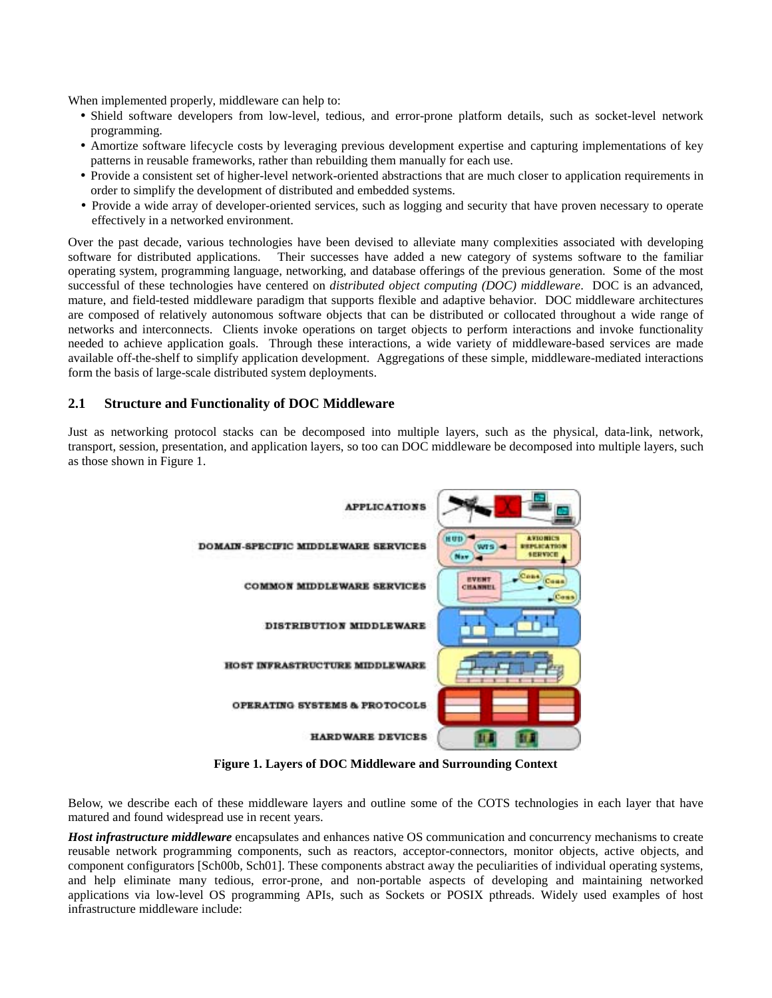When implemented properly, middleware can help to:

- Shield software developers from low-level, tedious, and error-prone platform details, such as socket-level network programming.
- Amortize software lifecycle costs by leveraging previous development expertise and capturing implementations of key patterns in reusable frameworks, rather than rebuilding them manually for each use.
- Provide a consistent set of higher-level network-oriented abstractions that are much closer to application requirements in order to simplify the development of distributed and embedded systems.
- Provide a wide array of developer-oriented services, such as logging and security that have proven necessary to operate effectively in a networked environment.

Over the past decade, various technologies have been devised to alleviate many complexities associated with developing software for distributed applications. Their successes have added a new category of systems software to the familiar operating system, programming language, networking, and database offerings of the previous generation. Some of the most successful of these technologies have centered on *distributed object computing (DOC) middleware*. DOC is an advanced, mature, and field-tested middleware paradigm that supports flexible and adaptive behavior. DOC middleware architectures are composed of relatively autonomous software objects that can be distributed or collocated throughout a wide range of networks and interconnects. Clients invoke operations on target objects to perform interactions and invoke functionality needed to achieve application goals. Through these interactions, a wide variety of middleware-based services are made available off-the-shelf to simplify application development. Aggregations of these simple, middleware-mediated interactions form the basis of large-scale distributed system deployments.

#### **2.1 Structure and Functionality of DOC Middleware**

Just as networking protocol stacks can be decomposed into multiple layers, such as the physical, data-link, network, transport, session, presentation, and application layers, so too can DOC middleware be decomposed into multiple layers, such as those shown in Figure 1.



**Figure 1. Layers of DOC Middleware and Surrounding Context** 

Below, we describe each of these middleware layers and outline some of the COTS technologies in each layer that have matured and found widespread use in recent years.

*Host infrastructure middleware* encapsulates and enhances native OS communication and concurrency mechanisms to create reusable network programming components, such as reactors, acceptor-connectors, monitor objects, active objects, and component configurators [Sch00b, Sch01]. These components abstract away the peculiarities of individual operating systems, and help eliminate many tedious, error-prone, and non-portable aspects of developing and maintaining networked applications via low-level OS programming APIs, such as Sockets or POSIX pthreads. Widely used examples of host infrastructure middleware include: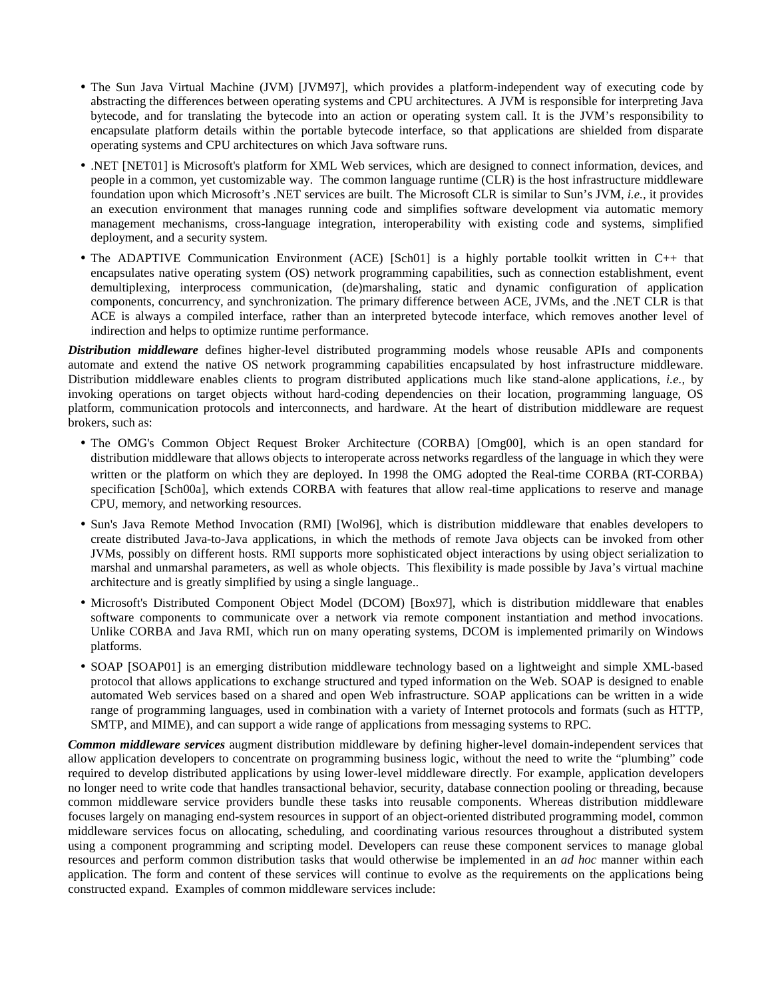- The Sun Java Virtual Machine (JVM) [JVM97], which provides a platform-independent way of executing code by abstracting the differences between operating systems and CPU architectures. A JVM is responsible for interpreting Java bytecode, and for translating the bytecode into an action or operating system call. It is the JVM's responsibility to encapsulate platform details within the portable bytecode interface, so that applications are shielded from disparate operating systems and CPU architectures on which Java software runs.
- .NET [NET01] is Microsoft's platform for XML Web services, which are designed to connect information, devices, and people in a common, yet customizable way. The common language runtime (CLR) is the host infrastructure middleware foundation upon which Microsoft's .NET services are built. The Microsoft CLR is similar to Sun's JVM, *i.e.,* it provides an execution environment that manages running code and simplifies software development via automatic memory management mechanisms, cross-language integration, interoperability with existing code and systems, simplified deployment, and a security system.
- The ADAPTIVE Communication Environment (ACE) [Sch01] is a highly portable toolkit written in C++ that encapsulates native operating system (OS) network programming capabilities, such as connection establishment, event demultiplexing, interprocess communication, (de)marshaling, static and dynamic configuration of application components, concurrency, and synchronization. The primary difference between ACE, JVMs, and the .NET CLR is that ACE is always a compiled interface, rather than an interpreted bytecode interface, which removes another level of indirection and helps to optimize runtime performance.

*Distribution middleware* defines higher-level distributed programming models whose reusable APIs and components automate and extend the native OS network programming capabilities encapsulated by host infrastructure middleware. Distribution middleware enables clients to program distributed applications much like stand-alone applications, *i.e.*, by invoking operations on target objects without hard-coding dependencies on their location, programming language, OS platform, communication protocols and interconnects, and hardware. At the heart of distribution middleware are request brokers, such as:

- The OMG's Common Object Request Broker Architecture (CORBA) [Omg00], which is an open standard for distribution middleware that allows objects to interoperate across networks regardless of the language in which they were written or the platform on which they are deployed. In 1998 the OMG adopted the Real-time CORBA (RT-CORBA) specification [Sch00a], which extends CORBA with features that allow real-time applications to reserve and manage CPU, memory, and networking resources.
- Sun's Java Remote Method Invocation (RMI) [Wol96], which is distribution middleware that enables developers to create distributed Java-to-Java applications, in which the methods of remote Java objects can be invoked from other JVMs, possibly on different hosts. RMI supports more sophisticated object interactions by using object serialization to marshal and unmarshal parameters, as well as whole objects. This flexibility is made possible by Java's virtual machine architecture and is greatly simplified by using a single language..
- Microsoft's Distributed Component Object Model (DCOM) [Box97], which is distribution middleware that enables software components to communicate over a network via remote component instantiation and method invocations. Unlike CORBA and Java RMI, which run on many operating systems, DCOM is implemented primarily on Windows platforms.
- SOAP [SOAP01] is an emerging distribution middleware technology based on a lightweight and simple XML-based protocol that allows applications to exchange structured and typed information on the Web. SOAP is designed to enable automated Web services based on a shared and open Web infrastructure. SOAP applications can be written in a wide range of programming languages, used in combination with a variety of Internet protocols and formats (such as HTTP, SMTP, and MIME), and can support a wide range of applications from messaging systems to RPC.

*Common middleware services* augment distribution middleware by defining higher-level domain-independent services that allow application developers to concentrate on programming business logic, without the need to write the "plumbing" code required to develop distributed applications by using lower-level middleware directly. For example, application developers no longer need to write code that handles transactional behavior, security, database connection pooling or threading, because common middleware service providers bundle these tasks into reusable components. Whereas distribution middleware focuses largely on managing end-system resources in support of an object-oriented distributed programming model, common middleware services focus on allocating, scheduling, and coordinating various resources throughout a distributed system using a component programming and scripting model. Developers can reuse these component services to manage global resources and perform common distribution tasks that would otherwise be implemented in an *ad hoc* manner within each application. The form and content of these services will continue to evolve as the requirements on the applications being constructed expand. Examples of common middleware services include: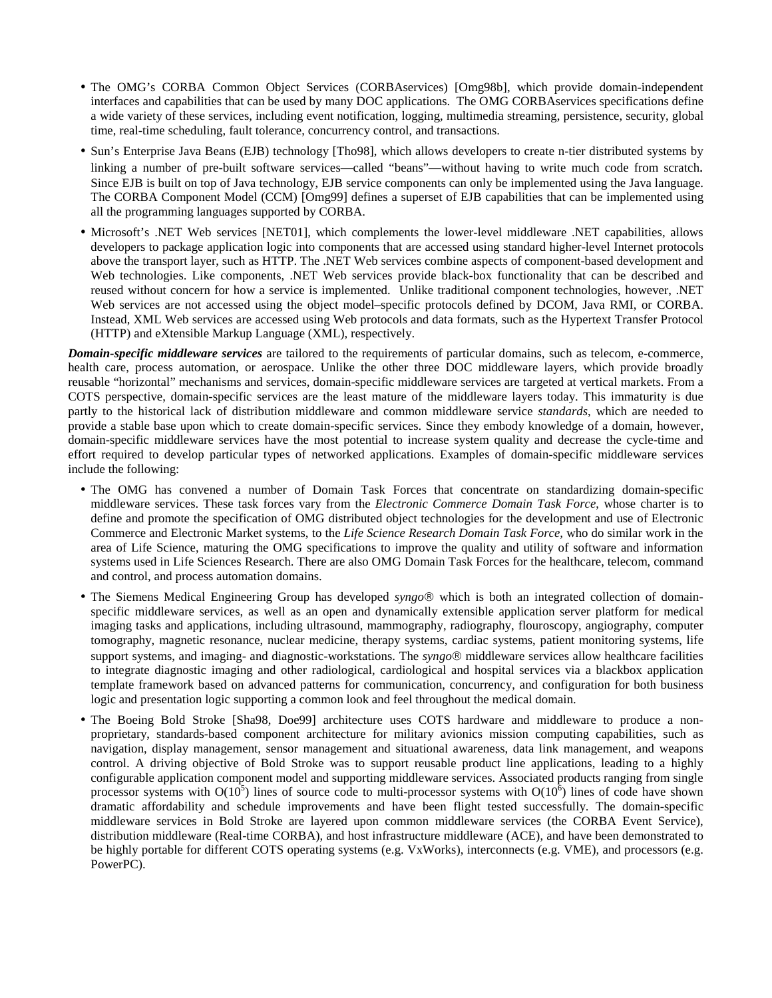- The OMG's CORBA Common Object Services (CORBAservices) [Omg98b], which provide domain-independent interfaces and capabilities that can be used by many DOC applications. The OMG CORBAservices specifications define a wide variety of these services, including event notification, logging, multimedia streaming, persistence, security, global time, real-time scheduling, fault tolerance, concurrency control, and transactions.
- Sun's Enterprise Java Beans (EJB) technology [Tho98], which allows developers to create n-tier distributed systems by linking a number of pre-built software services—called "beans"—without having to write much code from scratch.<br>Since EJB is built on top of Java technology. EJB service components can only be implemented using the Java lan The CORBA Component Model (CCM) [Omg99] defines a superset of EJB capabilities that can be implemented using all the programming languages supported by CORBA.
- Microsoft's .NET Web services [NET01], which complements the lower-level middleware .NET capabilities, allows developers to package application logic into components that are accessed using standard higher-level Internet protocols above the transport layer, such as HTTP. The .NET Web services combine aspects of component-based development and Web technologies. Like components, .NET Web services provide black-box functionality that can be described and reused without concern for how a service is implemented. Unlike traditional component technologies, however, .NET Web services are not accessed using the object model–specific protocols defined by DCOM, Java RMI, or CORBA. Instead, XML Web services are accessed using Web protocols and data formats, such as the Hypertext Transfer Protocol (HTTP) and eXtensible Markup Language (XML), respectively.

*Domain-specific middleware services* are tailored to the requirements of particular domains, such as telecom, e-commerce, health care, process automation, or aerospace. Unlike the other three DOC middleware layers, which provide broadly reusable "horizontal" mechanisms and services, domain-specific middleware services are targeted at vertical markets. From a COTS perspective, domain-specific services are the least mature of the middleware layers today. This immaturity is due partly to the historical lack of distribution middleware and common middleware service *standards*, which are needed to provide a stable base upon which to create domain-specific services. Since they embody knowledge of a domain, however, domain-specific middleware services have the most potential to increase system quality and decrease the cycle-time and effort required to develop particular types of networked applications. Examples of domain-specific middleware services include the following:

- The OMG has convened a number of Domain Task Forces that concentrate on standardizing domain-specific middleware services. These task forces vary from the *Electronic Commerce Domain Task Force*, whose charter is to define and promote the specification of OMG distributed object technologies for the development and use of Electronic Commerce and Electronic Market systems, to the *Life Science Research Domain Task Force,* who do similar work in the area of Life Science, maturing the OMG specifications to improve the quality and utility of software and information systems used in Life Sciences Research. There are also OMG Domain Task Forces for the healthcare, telecom, command and control, and process automation domains.
- The Siemens Medical Engineering Group has developed *syngo* which is both an integrated collection of domainspecific middleware services, as well as an open and dynamically extensible application server platform for medical imaging tasks and applications, including ultrasound, mammography, radiography, flouroscopy, angiography, computer tomography, magnetic resonance, nuclear medicine, therapy systems, cardiac systems, patient monitoring systems, life support systems, and imaging- and diagnostic-workstations. The *syngo* middleware services allow healthcare facilities to integrate diagnostic imaging and other radiological, cardiological and hospital services via a blackbox application template framework based on advanced patterns for communication, concurrency, and configuration for both business logic and presentation logic supporting a common look and feel throughout the medical domain.
- The Boeing Bold Stroke [Sha98, Doe99] architecture uses COTS hardware and middleware to produce a nonproprietary, standards-based component architecture for military avionics mission computing capabilities, such as navigation, display management, sensor management and situational awareness, data link management, and weapons control. A driving objective of Bold Stroke was to support reusable product line applications, leading to a highly configurable application component model and supporting middleware services. Associated products ranging from single processor systems with  $O(10^5)$  lines of source code to multi-processor systems with  $O(10^6)$  lines of code have shown dramatic affordability and schedule improvements and have been flight tested successfully. The domain-specific middleware services in Bold Stroke are layered upon common middleware services (the CORBA Event Service), distribution middleware (Real-time CORBA), and host infrastructure middleware (ACE), and have been demonstrated to be highly portable for different COTS operating systems (e.g. VxWorks), interconnects (e.g. VME), and processors (e.g. PowerPC).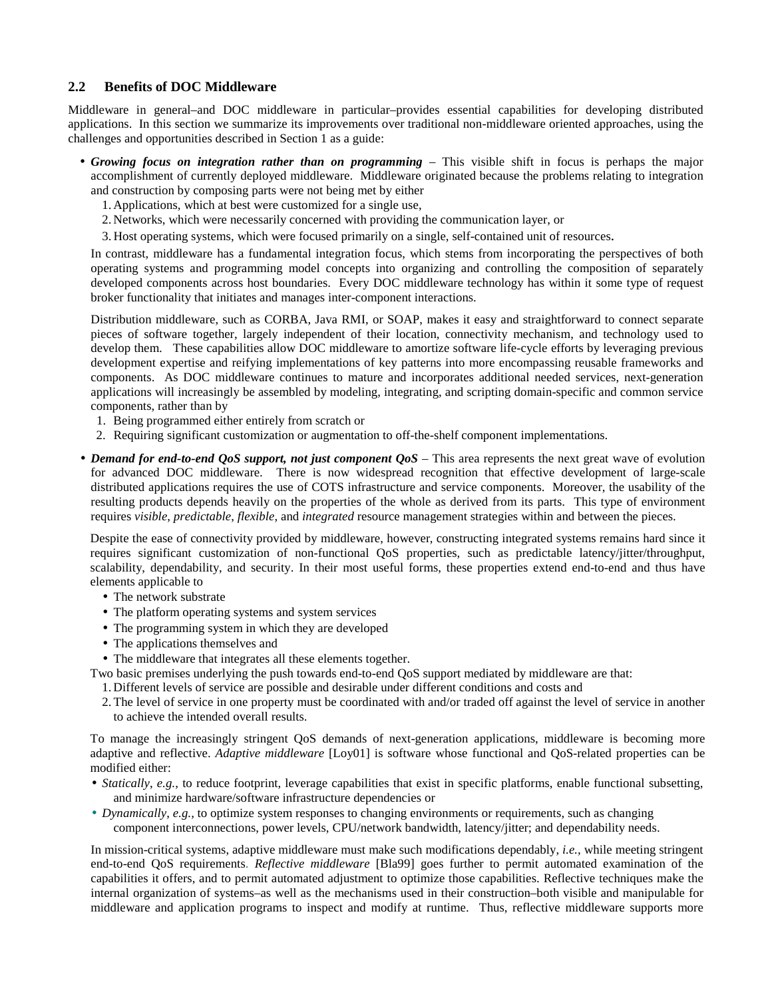### **2.2 Benefits of DOC Middleware**

Middleware in general–and DOC middleware in particular–provides essential capabilities for developing distributed applications. In this section we summarize its improvements over traditional non-middleware oriented approaches, using the challenges and opportunities described in Section 1 as a guide:

- *Growing focus on integration rather than on programming* This visible shift in focus is perhaps the major accomplishment of currently deployed middleware. Middleware originated because the problems relating to integration and construction by composing parts were not being met by either
	- 1. Applications, which at best were customized for a single use,
	- 2. Networks, which were necessarily concerned with providing the communication layer, or
	- 3. Host operating systems, which were focused primarily on a single, self-contained unit of resources.

In contrast, middleware has a fundamental integration focus, which stems from incorporating the perspectives of both operating systems and programming model concepts into organizing and controlling the composition of separately developed components across host boundaries. Every DOC middleware technology has within it some type of request broker functionality that initiates and manages inter-component interactions.

Distribution middleware, such as CORBA, Java RMI, or SOAP, makes it easy and straightforward to connect separate pieces of software together, largely independent of their location, connectivity mechanism, and technology used to develop them. These capabilities allow DOC middleware to amortize software life-cycle efforts by leveraging previous development expertise and reifying implementations of key patterns into more encompassing reusable frameworks and components. As DOC middleware continues to mature and incorporates additional needed services, next-generation applications will increasingly be assembled by modeling, integrating, and scripting domain-specific and common service components, rather than by

- 1. Being programmed either entirely from scratch or
- 2. Requiring significant customization or augmentation to off-the-shelf component implementations.
- *Demand for end-to-end QoS support, not just component QoS* This area represents the next great wave of evolution for advanced DOC middleware. There is now widespread recognition that effective development of large-scale distributed applications requires the use of COTS infrastructure and service components. Moreover, the usability of the resulting products depends heavily on the properties of the whole as derived from its parts. This type of environment requires *visible*, *predictable*, *flexible*, and *integrated* resource management strategies within and between the pieces.

Despite the ease of connectivity provided by middleware, however, constructing integrated systems remains hard since it requires significant customization of non-functional QoS properties, such as predictable latency/jitter/throughput, scalability, dependability, and security. In their most useful forms, these properties extend end-to-end and thus have elements applicable to

- The network substrate
- The platform operating systems and system services
- The programming system in which they are developed
- The applications themselves and
- The middleware that integrates all these elements together.

Two basic premises underlying the push towards end-to-end QoS support mediated by middleware are that:

- 1. Different levels of service are possible and desirable under different conditions and costs and
- 2. The level of service in one property must be coordinated with and/or traded off against the level of service in another to achieve the intended overall results.

To manage the increasingly stringent QoS demands of next-generation applications, middleware is becoming more adaptive and reflective. *Adaptive middleware* [Loy01] is software whose functional and QoS-related properties can be modified either:

- *Statically*, *e.g.,* to reduce footprint, leverage capabilities that exist in specific platforms, enable functional subsetting, and minimize hardware/software infrastructure dependencies or
- *Dynamically*, *e.g.,* to optimize system responses to changing environments or requirements, such as changing component interconnections, power levels, CPU/network bandwidth, latency/jitter; and dependability needs.

In mission-critical systems, adaptive middleware must make such modifications dependably, *i.e.,* while meeting stringent end-to-end QoS requirements. *Reflective middleware* [Bla99] goes further to permit automated examination of the capabilities it offers, and to permit automated adjustment to optimize those capabilities. Reflective techniques make the internal organization of systems–as well as the mechanisms used in their construction–both visible and manipulable for middleware and application programs to inspect and modify at runtime. Thus, reflective middleware supports more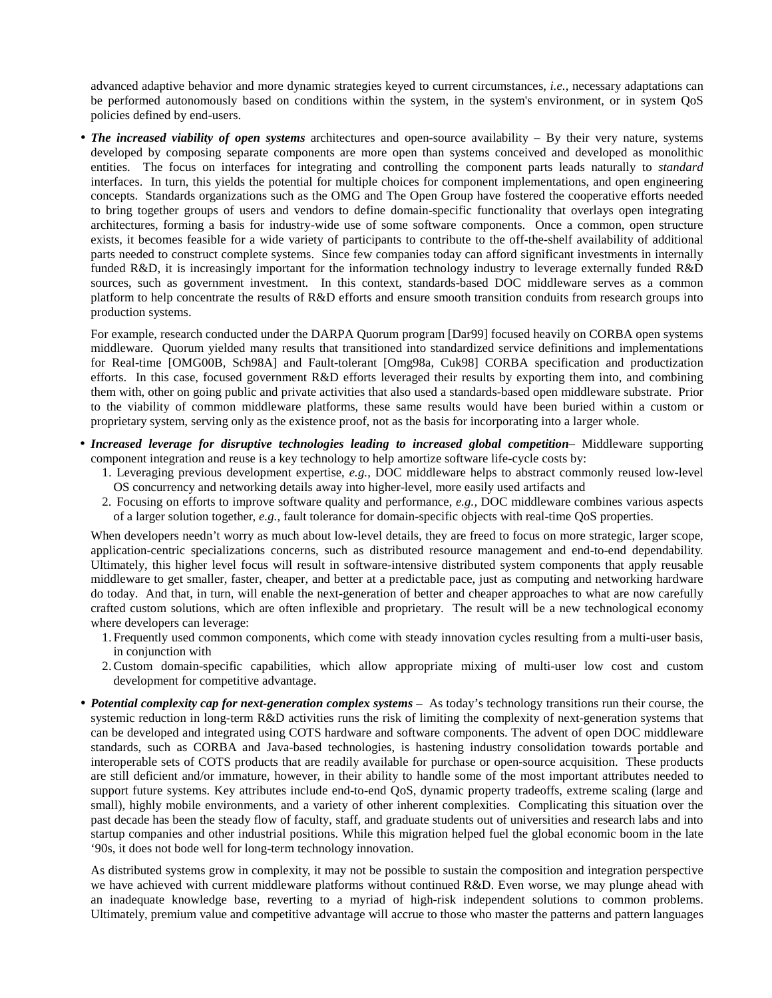advanced adaptive behavior and more dynamic strategies keyed to current circumstances, *i.e.,* necessary adaptations can be performed autonomously based on conditions within the system, in the system's environment, or in system QoS policies defined by end-users.

• *The increased viability of open systems* architectures and open-source availability – By their very nature, systems developed by composing separate components are more open than systems conceived and developed as monolithic entities. The focus on interfaces for integrating and controlling the component parts leads naturally to *standard* interfaces. In turn, this yields the potential for multiple choices for component implementations, and open engineering concepts. Standards organizations such as the OMG and The Open Group have fostered the cooperative efforts needed to bring together groups of users and vendors to define domain-specific functionality that overlays open integrating architectures, forming a basis for industry-wide use of some software components. Once a common, open structure exists, it becomes feasible for a wide variety of participants to contribute to the off-the-shelf availability of additional parts needed to construct complete systems. Since few companies today can afford significant investments in internally funded R&D, it is increasingly important for the information technology industry to leverage externally funded R&D sources, such as government investment. In this context, standards-based DOC middleware serves as a common platform to help concentrate the results of R&D efforts and ensure smooth transition conduits from research groups into production systems.

For example, research conducted under the DARPA Quorum program [Dar99] focused heavily on CORBA open systems middleware. Quorum yielded many results that transitioned into standardized service definitions and implementations for Real-time [OMG00B, Sch98A] and Fault-tolerant [Omg98a, Cuk98] CORBA specification and productization efforts. In this case, focused government R&D efforts leveraged their results by exporting them into, and combining them with, other on going public and private activities that also used a standards-based open middleware substrate. Prior to the viability of common middleware platforms, these same results would have been buried within a custom or proprietary system, serving only as the existence proof, not as the basis for incorporating into a larger whole.

- *Increased leverage for disruptive technologies leading to increased global competition* Middleware supporting component integration and reuse is a key technology to help amortize software life-cycle costs by:
	- 1. Leveraging previous development expertise, *e.g.,* DOC middleware helps to abstract commonly reused low-level OS concurrency and networking details away into higher-level, more easily used artifacts and
	- 2. Focusing on efforts to improve software quality and performance, *e.g.,* DOC middleware combines various aspects of a larger solution together, *e.g.,* fault tolerance for domain-specific objects with real-time QoS properties.

When developers needn't worry as much about low-level details, they are freed to focus on more strategic, larger scope, application-centric specializations concerns, such as distributed resource management and end-to-end dependability. Ultimately, this higher level focus will result in software-intensive distributed system components that apply reusable middleware to get smaller, faster, cheaper, and better at a predictable pace, just as computing and networking hardware do today. And that, in turn, will enable the next-generation of better and cheaper approaches to what are now carefully crafted custom solutions, which are often inflexible and proprietary. The result will be a new technological economy where developers can leverage:

- 1. Frequently used common components, which come with steady innovation cycles resulting from a multi-user basis, in conjunction with
- 2. Custom domain-specific capabilities, which allow appropriate mixing of multi-user low cost and custom development for competitive advantage.
- *Potential complexity cap for next-generation complex systems* As today's technology transitions run their course, the systemic reduction in long-term R&D activities runs the risk of limiting the complexity of next-generation systems that can be developed and integrated using COTS hardware and software components. The advent of open DOC middleware standards, such as CORBA and Java-based technologies, is hastening industry consolidation towards portable and interoperable sets of COTS products that are readily available for purchase or open-source acquisition. These products are still deficient and/or immature, however, in their ability to handle some of the most important attributes needed to support future systems. Key attributes include end-to-end QoS, dynamic property tradeoffs, extreme scaling (large and small), highly mobile environments, and a variety of other inherent complexities. Complicating this situation over the past decade has been the steady flow of faculty, staff, and graduate students out of universities and research labs and into startup companies and other industrial positions. While this migration helped fuel the global economic boom in the late '90s, it does not bode well for long-term technology innovation.

As distributed systems grow in complexity, it may not be possible to sustain the composition and integration perspective we have achieved with current middleware platforms without continued R&D. Even worse, we may plunge ahead with an inadequate knowledge base, reverting to a myriad of high-risk independent solutions to common problems. Ultimately, premium value and competitive advantage will accrue to those who master the patterns and pattern languages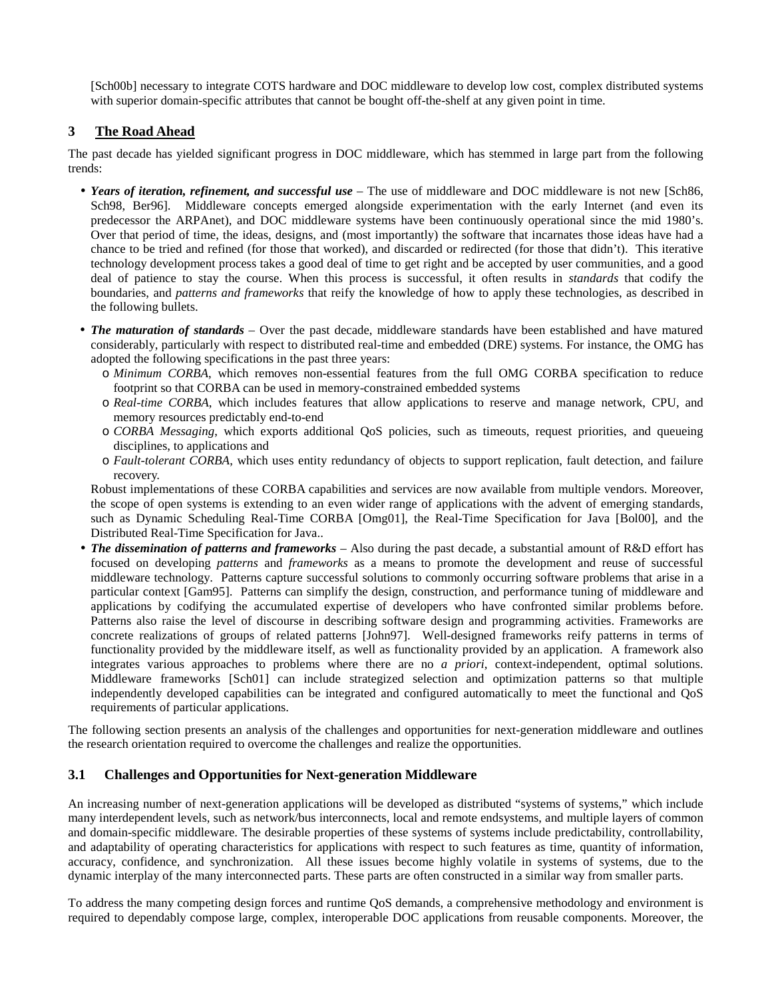[Sch00b] necessary to integrate COTS hardware and DOC middleware to develop low cost, complex distributed systems with superior domain-specific attributes that cannot be bought off-the-shelf at any given point in time.

## **3 The Road Ahead**

The past decade has yielded significant progress in DOC middleware, which has stemmed in large part from the following trends:

- *Years of iteration, refinement, and successful use* The use of middleware and DOC middleware is not new [Sch86, Sch98, Ber96]. Middleware concepts emerged alongside experimentation with the early Internet (and even its predecessor the ARPAnet), and DOC middleware systems have been continuously operational since the mid 1980's. Over that period of time, the ideas, designs, and (most importantly) the software that incarnates those ideas have had a chance to be tried and refined (for those that worked), and discarded or redirected (for those that didn't). This iterative technology development process takes a good deal of time to get right and be accepted by user communities, and a good deal of patience to stay the course. When this process is successful, it often results in *standards* that codify the boundaries, and *patterns and frameworks* that reify the knowledge of how to apply these technologies, as described in the following bullets.
- *The maturation of standards* Over the past decade, middleware standards have been established and have matured considerably, particularly with respect to distributed real-time and embedded (DRE) systems. For instance, the OMG has adopted the following specifications in the past three years:
	- o *Minimum CORBA*, which removes non-essential features from the full OMG CORBA specification to reduce footprint so that CORBA can be used in memory-constrained embedded systems
	- o *Real-time CORBA*, which includes features that allow applications to reserve and manage network, CPU, and memory resources predictably end-to-end
	- o *CORBA Messaging*, which exports additional QoS policies, such as timeouts, request priorities, and queueing disciplines, to applications and
	- o *Fault-tolerant CORBA*, which uses entity redundancy of objects to support replication, fault detection, and failure recovery.

Robust implementations of these CORBA capabilities and services are now available from multiple vendors. Moreover, the scope of open systems is extending to an even wider range of applications with the advent of emerging standards, such as Dynamic Scheduling Real-Time CORBA [Omg01], the Real-Time Specification for Java [Bol00], and the Distributed Real-Time Specification for Java..

• *The dissemination of patterns and frameworks* – Also during the past decade, a substantial amount of R&D effort has focused on developing *patterns* and *frameworks* as a means to promote the development and reuse of successful middleware technology. Patterns capture successful solutions to commonly occurring software problems that arise in a particular context [Gam95]. Patterns can simplify the design, construction, and performance tuning of middleware and applications by codifying the accumulated expertise of developers who have confronted similar problems before. Patterns also raise the level of discourse in describing software design and programming activities. Frameworks are concrete realizations of groups of related patterns [John97]. Well-designed frameworks reify patterns in terms of functionality provided by the middleware itself, as well as functionality provided by an application. A framework also integrates various approaches to problems where there are no *a priori*, context-independent, optimal solutions. Middleware frameworks [Sch01] can include strategized selection and optimization patterns so that multiple independently developed capabilities can be integrated and configured automatically to meet the functional and QoS requirements of particular applications.

The following section presents an analysis of the challenges and opportunities for next-generation middleware and outlines the research orientation required to overcome the challenges and realize the opportunities.

#### **3.1 Challenges and Opportunities for Next-generation Middleware**

An increasing number of next-generation applications will be developed as distributed "systems of systems," which include many interdependent levels, such as network/bus interconnects, local and remote endsystems, and multiple layers of common and domain-specific middleware. The desirable properties of these systems of systems include predictability, controllability, and adaptability of operating characteristics for applications with respect to such features as time, quantity of information, accuracy, confidence, and synchronization. All these issues become highly volatile in systems of systems, due to the dynamic interplay of the many interconnected parts. These parts are often constructed in a similar way from smaller parts.

To address the many competing design forces and runtime QoS demands, a comprehensive methodology and environment is required to dependably compose large, complex, interoperable DOC applications from reusable components. Moreover, the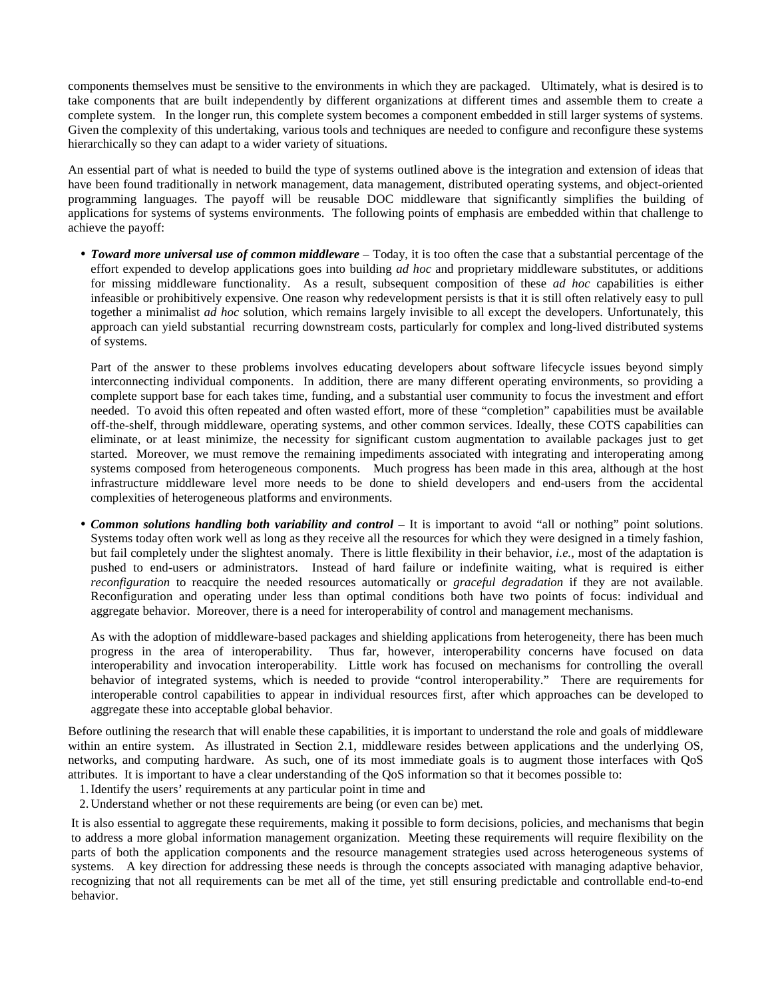components themselves must be sensitive to the environments in which they are packaged. Ultimately, what is desired is to take components that are built independently by different organizations at different times and assemble them to create a complete system. In the longer run, this complete system becomes a component embedded in still larger systems of systems. Given the complexity of this undertaking, various tools and techniques are needed to configure and reconfigure these systems hierarchically so they can adapt to a wider variety of situations.

An essential part of what is needed to build the type of systems outlined above is the integration and extension of ideas that have been found traditionally in network management, data management, distributed operating systems, and object-oriented programming languages. The payoff will be reusable DOC middleware that significantly simplifies the building of applications for systems of systems environments. The following points of emphasis are embedded within that challenge to achieve the payoff:

• *Toward more universal use of common middleware* – Today, it is too often the case that a substantial percentage of the effort expended to develop applications goes into building *ad hoc* and proprietary middleware substitutes, or additions for missing middleware functionality. As a result, subsequent composition of these *ad hoc* capabilities is either infeasible or prohibitively expensive. One reason why redevelopment persists is that it is still often relatively easy to pull together a minimalist *ad hoc* solution, which remains largely invisible to all except the developers. Unfortunately, this approach can yield substantial recurring downstream costs, particularly for complex and long-lived distributed systems of systems.

Part of the answer to these problems involves educating developers about software lifecycle issues beyond simply interconnecting individual components. In addition, there are many different operating environments, so providing a complete support base for each takes time, funding, and a substantial user community to focus the investment and effort needed. To avoid this often repeated and often wasted effort, more of these "completion" capabilities must be available off-the-shelf, through middleware, operating systems, and other common services. Ideally, these COTS capabilities can eliminate, or at least minimize, the necessity for significant custom augmentation to available packages just to get started. Moreover, we must remove the remaining impediments associated with integrating and interoperating among systems composed from heterogeneous components. Much progress has been made in this area, although at the host infrastructure middleware level more needs to be done to shield developers and end-users from the accidental complexities of heterogeneous platforms and environments.

• *Common solutions handling both variability and control* – It is important to avoid "all or nothing" point solutions. Systems today often work well as long as they receive all the resources for which they were designed in a timely fashion, but fail completely under the slightest anomaly. There is little flexibility in their behavior, *i.e.,* most of the adaptation is pushed to end-users or administrators. Instead of hard failure or indefinite waiting, what is required is either *reconfiguration* to reacquire the needed resources automatically or *graceful degradation* if they are not available. Reconfiguration and operating under less than optimal conditions both have two points of focus: individual and aggregate behavior. Moreover, there is a need for interoperability of control and management mechanisms.

As with the adoption of middleware-based packages and shielding applications from heterogeneity, there has been much progress in the area of interoperability. Thus far, however, interoperability concerns have focused on data interoperability and invocation interoperability. Little work has focused on mechanisms for controlling the overall behavior of integrated systems, which is needed to provide "control interoperability." There are requirements for interoperable control capabilities to appear in individual resources first, after which approaches can be developed to aggregate these into acceptable global behavior.

Before outlining the research that will enable these capabilities, it is important to understand the role and goals of middleware within an entire system. As illustrated in Section 2.1, middleware resides between applications and the underlying OS, networks, and computing hardware. As such, one of its most immediate goals is to augment those interfaces with QoS attributes. It is important to have a clear understanding of the QoS information so that it becomes possible to:

1. Identify the users' requirements at any particular point in time and

2. Understand whether or not these requirements are being (or even can be) met.

It is also essential to aggregate these requirements, making it possible to form decisions, policies, and mechanisms that begin to address a more global information management organization. Meeting these requirements will require flexibility on the parts of both the application components and the resource management strategies used across heterogeneous systems of systems. A key direction for addressing these needs is through the concepts associated with managing adaptive behavior, recognizing that not all requirements can be met all of the time, yet still ensuring predictable and controllable end-to-end behavior.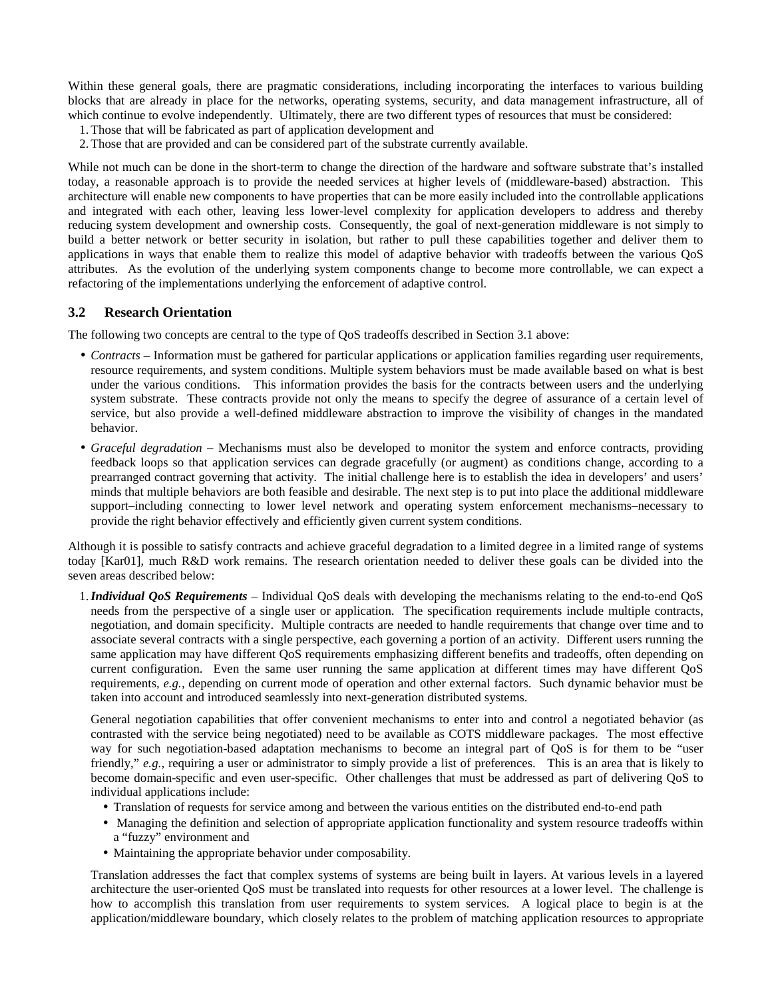Within these general goals, there are pragmatic considerations, including incorporating the interfaces to various building blocks that are already in place for the networks, operating systems, security, and data management infrastructure, all of which continue to evolve independently. Ultimately, there are two different types of resources that must be considered:

- 1. Those that will be fabricated as part of application development and
- 2. Those that are provided and can be considered part of the substrate currently available.

While not much can be done in the short-term to change the direction of the hardware and software substrate that's installed today, a reasonable approach is to provide the needed services at higher levels of (middleware-based) abstraction. This architecture will enable new components to have properties that can be more easily included into the controllable applications and integrated with each other, leaving less lower-level complexity for application developers to address and thereby reducing system development and ownership costs. Consequently, the goal of next-generation middleware is not simply to build a better network or better security in isolation, but rather to pull these capabilities together and deliver them to applications in ways that enable them to realize this model of adaptive behavior with tradeoffs between the various QoS attributes. As the evolution of the underlying system components change to become more controllable, we can expect a refactoring of the implementations underlying the enforcement of adaptive control.

#### **3.2 Research Orientation**

The following two concepts are central to the type of QoS tradeoffs described in Section 3.1 above:

- *Contracts* Information must be gathered for particular applications or application families regarding user requirements, resource requirements, and system conditions. Multiple system behaviors must be made available based on what is best under the various conditions. This information provides the basis for the contracts between users and the underlying system substrate. These contracts provide not only the means to specify the degree of assurance of a certain level of service, but also provide a well-defined middleware abstraction to improve the visibility of changes in the mandated behavior.
- *Graceful degradation* Mechanisms must also be developed to monitor the system and enforce contracts, providing feedback loops so that application services can degrade gracefully (or augment) as conditions change, according to a prearranged contract governing that activity. The initial challenge here is to establish the idea in developers' and users' minds that multiple behaviors are both feasible and desirable. The next step is to put into place the additional middleware support–including connecting to lower level network and operating system enforcement mechanisms–necessary to provide the right behavior effectively and efficiently given current system conditions.

Although it is possible to satisfy contracts and achieve graceful degradation to a limited degree in a limited range of systems today [Kar01], much R&D work remains. The research orientation needed to deliver these goals can be divided into the seven areas described below:

1. *Individual QoS Requirements* – Individual QoS deals with developing the mechanisms relating to the end-to-end QoS needs from the perspective of a single user or application. The specification requirements include multiple contracts, negotiation, and domain specificity. Multiple contracts are needed to handle requirements that change over time and to associate several contracts with a single perspective, each governing a portion of an activity. Different users running the same application may have different QoS requirements emphasizing different benefits and tradeoffs, often depending on current configuration. Even the same user running the same application at different times may have different QoS requirements, *e.g.,* depending on current mode of operation and other external factors. Such dynamic behavior must be taken into account and introduced seamlessly into next-generation distributed systems.

General negotiation capabilities that offer convenient mechanisms to enter into and control a negotiated behavior (as contrasted with the service being negotiated) need to be available as COTS middleware packages. The most effective way for such negotiation-based adaptation mechanisms to become an integral part of QoS is for them to be "user friendly," *e.g.,* requiring a user or administrator to simply provide a list of preferences. This is an area that is likely to become domain-specific and even user-specific. Other challenges that must be addressed as part of delivering QoS to individual applications include:

- Translation of requests for service among and between the various entities on the distributed end-to-end path
- Managing the definition and selection of appropriate application functionality and system resource tradeoffs within a "fuzzy" environment and
- Maintaining the appropriate behavior under composability.

Translation addresses the fact that complex systems of systems are being built in layers. At various levels in a layered architecture the user-oriented QoS must be translated into requests for other resources at a lower level. The challenge is how to accomplish this translation from user requirements to system services. A logical place to begin is at the application/middleware boundary, which closely relates to the problem of matching application resources to appropriate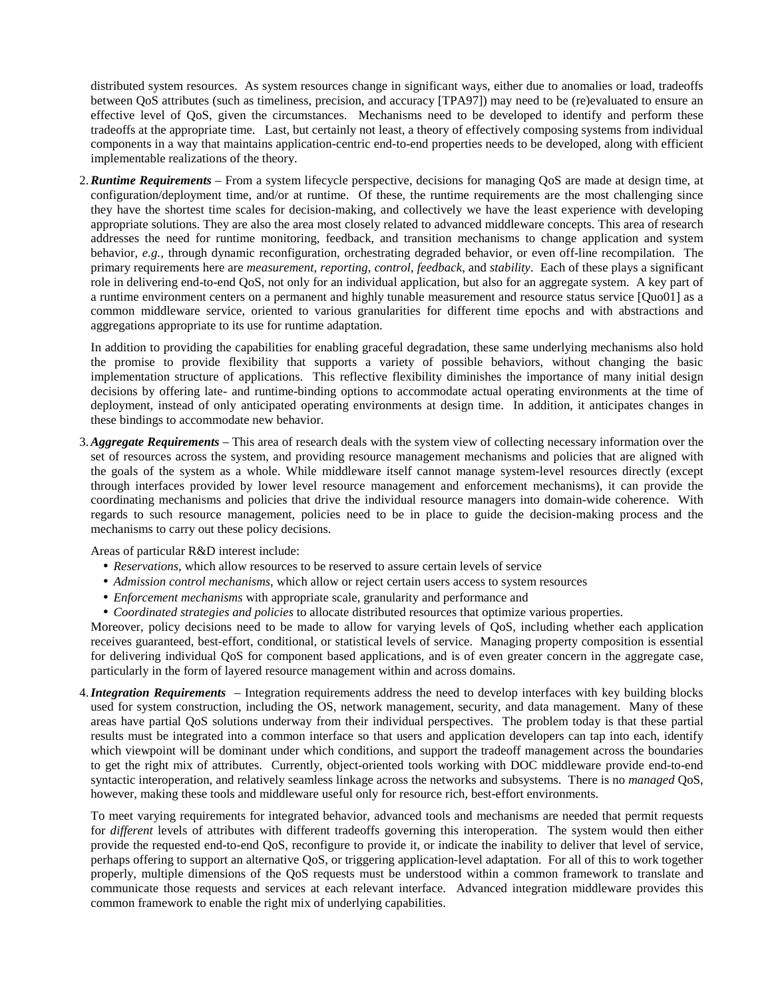distributed system resources. As system resources change in significant ways, either due to anomalies or load, tradeoffs between QoS attributes (such as timeliness, precision, and accuracy [TPA97]) may need to be (re)evaluated to ensure an effective level of QoS, given the circumstances. Mechanisms need to be developed to identify and perform these tradeoffs at the appropriate time. Last, but certainly not least, a theory of effectively composing systems from individual components in a way that maintains application-centric end-to-end properties needs to be developed, along with efficient implementable realizations of the theory.

2. *Runtime Requirements* – From a system lifecycle perspective, decisions for managing QoS are made at design time, at configuration/deployment time, and/or at runtime. Of these, the runtime requirements are the most challenging since they have the shortest time scales for decision-making, and collectively we have the least experience with developing appropriate solutions. They are also the area most closely related to advanced middleware concepts. This area of research addresses the need for runtime monitoring, feedback, and transition mechanisms to change application and system behavior, *e.g.,* through dynamic reconfiguration, orchestrating degraded behavior, or even off-line recompilation. The primary requirements here are *measurement*, *reporting*, *control*, *feedback*, and *stability*. Each of these plays a significant role in delivering end-to-end QoS, not only for an individual application, but also for an aggregate system. A key part of a runtime environment centers on a permanent and highly tunable measurement and resource status service [Quo01] as a common middleware service, oriented to various granularities for different time epochs and with abstractions and aggregations appropriate to its use for runtime adaptation.

 In addition to providing the capabilities for enabling graceful degradation, these same underlying mechanisms also hold the promise to provide flexibility that supports a variety of possible behaviors, without changing the basic implementation structure of applications. This reflective flexibility diminishes the importance of many initial design decisions by offering late- and runtime-binding options to accommodate actual operating environments at the time of deployment, instead of only anticipated operating environments at design time. In addition, it anticipates changes in these bindings to accommodate new behavior.

3. *Aggregate Requirements* – This area of research deals with the system view of collecting necessary information over the set of resources across the system, and providing resource management mechanisms and policies that are aligned with the goals of the system as a whole. While middleware itself cannot manage system-level resources directly (except through interfaces provided by lower level resource management and enforcement mechanisms), it can provide the coordinating mechanisms and policies that drive the individual resource managers into domain-wide coherence. With regards to such resource management, policies need to be in place to guide the decision-making process and the mechanisms to carry out these policy decisions.

Areas of particular R&D interest include:

- *Reservations*, which allow resources to be reserved to assure certain levels of service
- *Admission control mechanisms*, which allow or reject certain users access to system resources
- *Enforcement mechanisms* with appropriate scale, granularity and performance and
- *Coordinated strategies and policies* to allocate distributed resources that optimize various properties.

Moreover, policy decisions need to be made to allow for varying levels of QoS, including whether each application receives guaranteed, best-effort, conditional, or statistical levels of service. Managing property composition is essential for delivering individual QoS for component based applications, and is of even greater concern in the aggregate case, particularly in the form of layered resource management within and across domains.

4. *Integration Requirements* – Integration requirements address the need to develop interfaces with key building blocks used for system construction, including the OS, network management, security, and data management. Many of these areas have partial QoS solutions underway from their individual perspectives. The problem today is that these partial results must be integrated into a common interface so that users and application developers can tap into each, identify which viewpoint will be dominant under which conditions, and support the tradeoff management across the boundaries to get the right mix of attributes. Currently, object-oriented tools working with DOC middleware provide end-to-end syntactic interoperation, and relatively seamless linkage across the networks and subsystems. There is no *managed* QoS, however, making these tools and middleware useful only for resource rich, best-effort environments.

 To meet varying requirements for integrated behavior, advanced tools and mechanisms are needed that permit requests for *different* levels of attributes with different tradeoffs governing this interoperation. The system would then either provide the requested end-to-end QoS, reconfigure to provide it, or indicate the inability to deliver that level of service, perhaps offering to support an alternative QoS, or triggering application-level adaptation. For all of this to work together properly, multiple dimensions of the QoS requests must be understood within a common framework to translate and communicate those requests and services at each relevant interface. Advanced integration middleware provides this common framework to enable the right mix of underlying capabilities.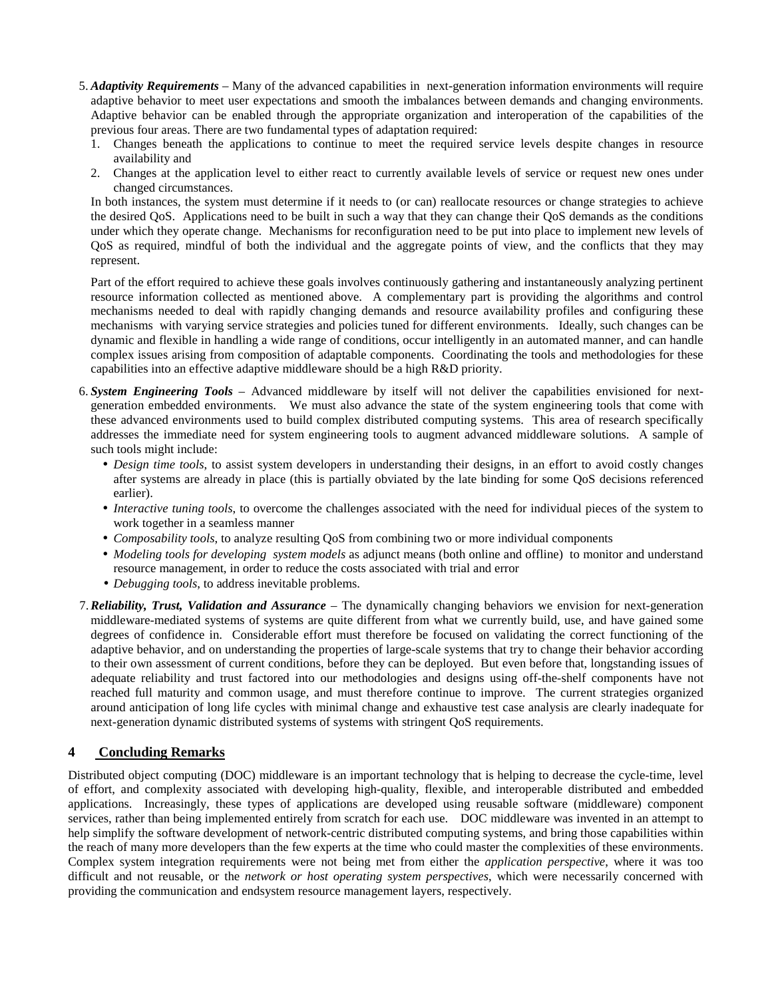- 5. *Adaptivity Requirements* Many of the advanced capabilities in next-generation information environments will require adaptive behavior to meet user expectations and smooth the imbalances between demands and changing environments. Adaptive behavior can be enabled through the appropriate organization and interoperation of the capabilities of the previous four areas. There are two fundamental types of adaptation required:
	- 1. Changes beneath the applications to continue to meet the required service levels despite changes in resource availability and
	- 2. Changes at the application level to either react to currently available levels of service or request new ones under changed circumstances.

 In both instances, the system must determine if it needs to (or can) reallocate resources or change strategies to achieve the desired QoS. Applications need to be built in such a way that they can change their QoS demands as the conditions under which they operate change. Mechanisms for reconfiguration need to be put into place to implement new levels of QoS as required, mindful of both the individual and the aggregate points of view, and the conflicts that they may represent.

 Part of the effort required to achieve these goals involves continuously gathering and instantaneously analyzing pertinent resource information collected as mentioned above. A complementary part is providing the algorithms and control mechanisms needed to deal with rapidly changing demands and resource availability profiles and configuring these mechanisms with varying service strategies and policies tuned for different environments. Ideally, such changes can be dynamic and flexible in handling a wide range of conditions, occur intelligently in an automated manner, and can handle complex issues arising from composition of adaptable components. Coordinating the tools and methodologies for these capabilities into an effective adaptive middleware should be a high R&D priority.

- 6. *System Engineering Tools* Advanced middleware by itself will not deliver the capabilities envisioned for nextgeneration embedded environments. We must also advance the state of the system engineering tools that come with these advanced environments used to build complex distributed computing systems. This area of research specifically addresses the immediate need for system engineering tools to augment advanced middleware solutions. A sample of such tools might include:
	- *Design time tools*, to assist system developers in understanding their designs, in an effort to avoid costly changes after systems are already in place (this is partially obviated by the late binding for some QoS decisions referenced earlier).
	- *Interactive tuning tools*, to overcome the challenges associated with the need for individual pieces of the system to work together in a seamless manner
	- *Composability tools*, to analyze resulting QoS from combining two or more individual components
	- *Modeling tools for developing system models* as adjunct means (both online and offline) to monitor and understand resource management, in order to reduce the costs associated with trial and error
	- *Debugging tools*, to address inevitable problems.
- 7. *Reliability, Trust, Validation and Assurance* The dynamically changing behaviors we envision for next-generation middleware-mediated systems of systems are quite different from what we currently build, use, and have gained some degrees of confidence in. Considerable effort must therefore be focused on validating the correct functioning of the adaptive behavior, and on understanding the properties of large-scale systems that try to change their behavior according to their own assessment of current conditions, before they can be deployed. But even before that, longstanding issues of adequate reliability and trust factored into our methodologies and designs using off-the-shelf components have not reached full maturity and common usage, and must therefore continue to improve. The current strategies organized around anticipation of long life cycles with minimal change and exhaustive test case analysis are clearly inadequate for next-generation dynamic distributed systems of systems with stringent QoS requirements.

# **4 Concluding Remarks**

Distributed object computing (DOC) middleware is an important technology that is helping to decrease the cycle-time, level of effort, and complexity associated with developing high-quality, flexible, and interoperable distributed and embedded applications. Increasingly, these types of applications are developed using reusable software (middleware) component services, rather than being implemented entirely from scratch for each use. DOC middleware was invented in an attempt to help simplify the software development of network-centric distributed computing systems, and bring those capabilities within the reach of many more developers than the few experts at the time who could master the complexities of these environments. Complex system integration requirements were not being met from either the *application perspective*, where it was too difficult and not reusable, or the *network or host operating system perspectives*, which were necessarily concerned with providing the communication and endsystem resource management layers, respectively.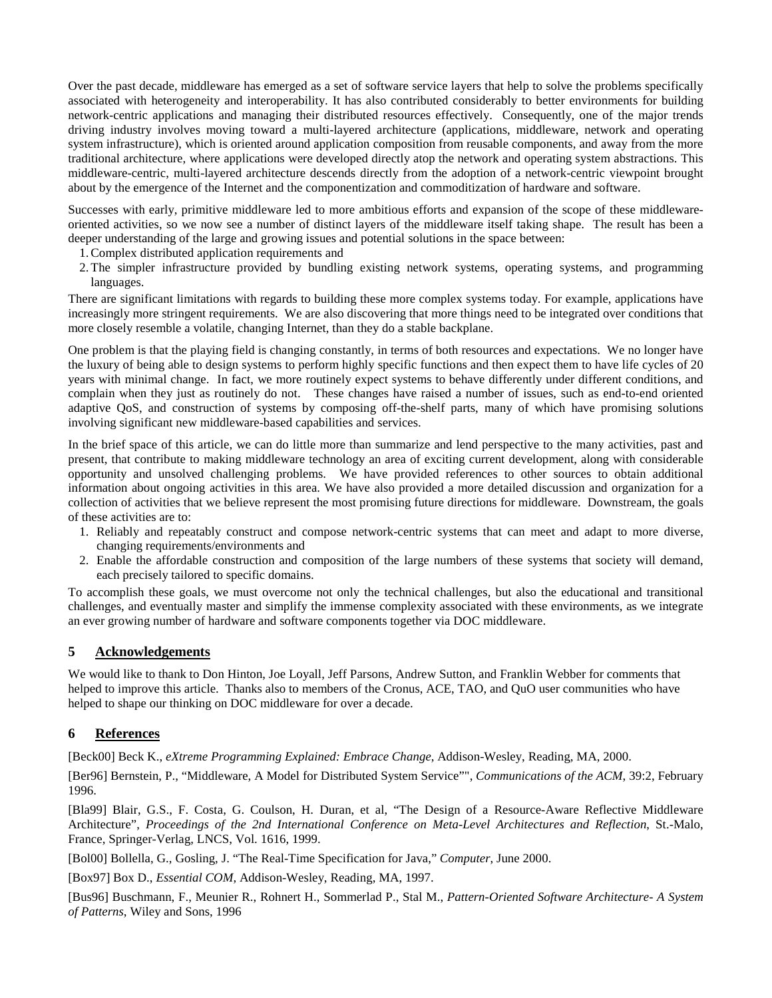Over the past decade, middleware has emerged as a set of software service layers that help to solve the problems specifically associated with heterogeneity and interoperability. It has also contributed considerably to better environments for building network-centric applications and managing their distributed resources effectively. Consequently, one of the major trends driving industry involves moving toward a multi-layered architecture (applications, middleware, network and operating system infrastructure), which is oriented around application composition from reusable components, and away from the more traditional architecture, where applications were developed directly atop the network and operating system abstractions. This middleware-centric, multi-layered architecture descends directly from the adoption of a network-centric viewpoint brought about by the emergence of the Internet and the componentization and commoditization of hardware and software.

Successes with early, primitive middleware led to more ambitious efforts and expansion of the scope of these middlewareoriented activities, so we now see a number of distinct layers of the middleware itself taking shape. The result has been a deeper understanding of the large and growing issues and potential solutions in the space between:

- 1. Complex distributed application requirements and
- 2. The simpler infrastructure provided by bundling existing network systems, operating systems, and programming languages.

There are significant limitations with regards to building these more complex systems today. For example, applications have increasingly more stringent requirements. We are also discovering that more things need to be integrated over conditions that more closely resemble a volatile, changing Internet, than they do a stable backplane.

One problem is that the playing field is changing constantly, in terms of both resources and expectations. We no longer have the luxury of being able to design systems to perform highly specific functions and then expect them to have life cycles of 20 years with minimal change. In fact, we more routinely expect systems to behave differently under different conditions, and complain when they just as routinely do not. These changes have raised a number of issues, such as end-to-end oriented adaptive QoS, and construction of systems by composing off-the-shelf parts, many of which have promising solutions involving significant new middleware-based capabilities and services.

In the brief space of this article, we can do little more than summarize and lend perspective to the many activities, past and present, that contribute to making middleware technology an area of exciting current development, along with considerable opportunity and unsolved challenging problems. We have provided references to other sources to obtain additional information about ongoing activities in this area. We have also provided a more detailed discussion and organization for a collection of activities that we believe represent the most promising future directions for middleware. Downstream, the goals of these activities are to:

- 1. Reliably and repeatably construct and compose network-centric systems that can meet and adapt to more diverse, changing requirements/environments and
- 2. Enable the affordable construction and composition of the large numbers of these systems that society will demand, each precisely tailored to specific domains.

To accomplish these goals, we must overcome not only the technical challenges, but also the educational and transitional challenges, and eventually master and simplify the immense complexity associated with these environments, as we integrate an ever growing number of hardware and software components together via DOC middleware.

# **5 Acknowledgements**

We would like to thank to Don Hinton, Joe Loyall, Jeff Parsons, Andrew Sutton, and Franklin Webber for comments that helped to improve this article. Thanks also to members of the Cronus, ACE, TAO, and QuO user communities who have helped to shape our thinking on DOC middleware for over a decade.

# **6 References**

[Beck00] Beck K., *eXtreme Programming Explained: Embrace Change*, Addison-Wesley, Reading, MA, 2000.

[Ber96] Bernstein, P., "Middleware, A Model for Distributed System Service"", *Communications of the ACM*, 39:2, February 1996.

[Bla99] Blair, G.S., F. Costa, G. Coulson, H. Duran, et al, "The Design of a Resource-Aware Reflective Middleware Architecture", *Proceedings of the 2nd International Conference on Meta-Level Architectures and Reflection*, St.-Malo, France, Springer-Verlag, LNCS, Vol. 1616, 1999.

[Bol00] Bollella, G., Gosling, J. "The Real-Time Specification for Java," *Computer*, June 2000.

[Box97] Box D., *Essential COM*, Addison-Wesley, Reading, MA, 1997.

[Bus96] Buschmann, F., Meunier R., Rohnert H., Sommerlad P., Stal M., *Pattern-Oriented Software Architecture- A System of Patterns*, Wiley and Sons, 1996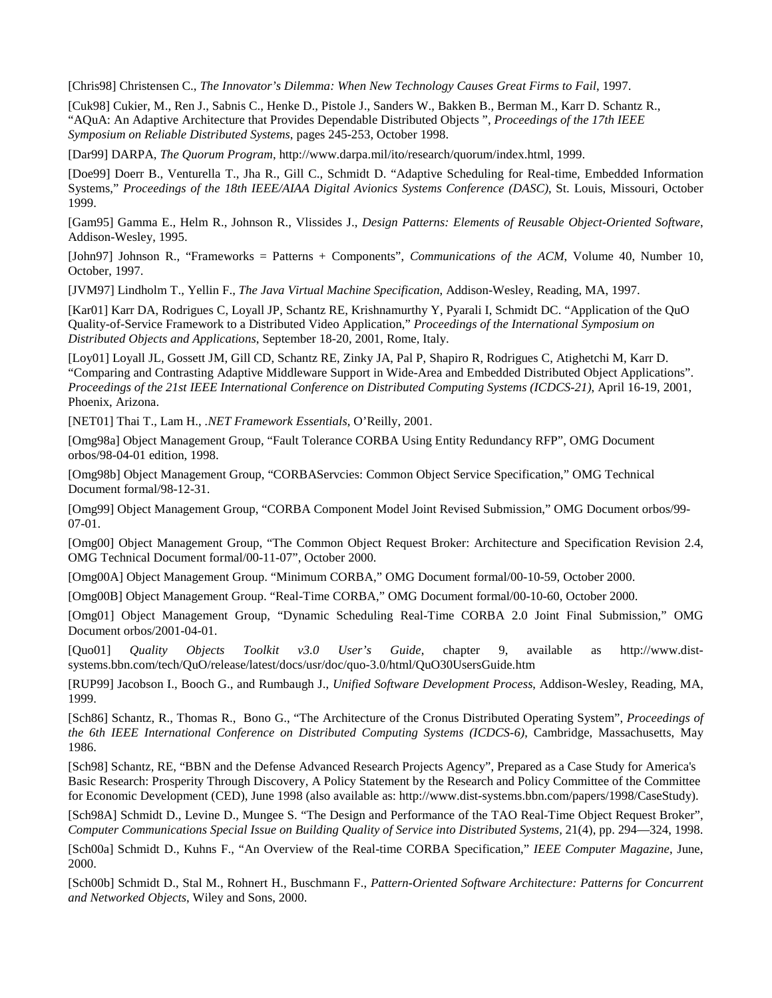[Chris98] Christensen C., *The Innovator's Dilemma: When New Technology Causes Great Firms to Fail*, 1997.

[Cuk98] Cukier, M., Ren J., Sabnis C., Henke D., Pistole J., Sanders W., Bakken B., Berman M., Karr D. Schantz R., "AQuA: An Adaptive Architecture that Provides Dependable Distributed Objects ", *Proceedings of the 17th IEEE Symposium on Reliable Distributed Systems*, pages 245-253, October 1998.

[Dar99] DARPA, *The Quorum Program*, http://www.darpa.mil/ito/research/quorum/index.html, 1999.

[Doe99] Doerr B., Venturella T., Jha R., Gill C., Schmidt D. "Adaptive Scheduling for Real-time, Embedded Information Systems," *Proceedings of the 18th IEEE/AIAA Digital Avionics Systems Conference (DASC)*, St. Louis, Missouri, October 1999.

[Gam95] Gamma E., Helm R., Johnson R., Vlissides J., *Design Patterns: Elements of Reusable Object-Oriented Software*, Addison-Wesley, 1995.

[John97] Johnson R., "Frameworks = Patterns + Components", *Communications of the ACM*, Volume 40, Number 10, October, 1997.

[JVM97] Lindholm T., Yellin F., *The Java Virtual Machine Specification*, Addison-Wesley, Reading, MA, 1997.

[Kar01] Karr DA, Rodrigues C, Loyall JP, Schantz RE, Krishnamurthy Y, Pyarali I, Schmidt DC. "Application of the QuO Quality-of-Service Framework to a Distributed Video Application," *Proceedings of the International Symposium on Distributed Objects and Applications*, September 18-20, 2001, Rome, Italy.

[Loy01] Loyall JL, Gossett JM, Gill CD, Schantz RE, Zinky JA, Pal P, Shapiro R, Rodrigues C, Atighetchi M, Karr D. "Comparing and Contrasting Adaptive Middleware Support in Wide-Area and Embedded Distributed Object Applications". *Proceedings of the 21st IEEE International Conference on Distributed Computing Systems (ICDCS-21)*, April 16-19, 2001, Phoenix, Arizona.

[NET01] Thai T., Lam H., *.NET Framework Essentials*, O'Reilly, 2001.

[Omg98a] Object Management Group, "Fault Tolerance CORBA Using Entity Redundancy RFP", OMG Document orbos/98-04-01 edition, 1998.

[Omg98b] Object Management Group, "CORBAServcies: Common Object Service Specification," OMG Technical Document formal/98-12-31.

[Omg99] Object Management Group, "CORBA Component Model Joint Revised Submission," OMG Document orbos/99- 07-01.

[Omg00] Object Management Group, "The Common Object Request Broker: Architecture and Specification Revision 2.4, OMG Technical Document formal/00-11-07", October 2000.

[Omg00A] Object Management Group. "Minimum CORBA," OMG Document formal/00-10-59, October 2000.

[Omg00B] Object Management Group. "Real-Time CORBA," OMG Document formal/00-10-60, October 2000.

[Omg01] Object Management Group, "Dynamic Scheduling Real-Time CORBA 2.0 Joint Final Submission," OMG Document orbos/2001-04-01.

[Quo01] *Quality Objects Toolkit v3.0 User's Guide*, chapter 9, available as http://www.distsystems.bbn.com/tech/QuO/release/latest/docs/usr/doc/quo-3.0/html/QuO30UsersGuide.htm

[RUP99] Jacobson I., Booch G., and Rumbaugh J., *Unified Software Development Process*, Addison-Wesley, Reading, MA, 1999.

[Sch86] Schantz, R., Thomas R., Bono G., "The Architecture of the Cronus Distributed Operating System", *Proceedings of the 6th IEEE International Conference on Distributed Computing Systems (ICDCS-6)*, Cambridge, Massachusetts, May 1986.

[Sch98] Schantz, RE, "BBN and the Defense Advanced Research Projects Agency", Prepared as a Case Study for America's Basic Research: Prosperity Through Discovery, A Policy Statement by the Research and Policy Committee of the Committee for Economic Development (CED), June 1998 (also available as: http://www.dist-systems.bbn.com/papers/1998/CaseStudy).

[Sch98A] Schmidt D., Levine D., Mungee S. "The Design and Performance of the TAO Real-Time Object Request Broker", *Computer Communications Special Issue on Building Quality of Service into Distributed Systems,* 21(4), pp. 294—324, 1998.

[Sch00a] Schmidt D., Kuhns F., "An Overview of the Real-time CORBA Specification," *IEEE Computer Magazine*, June, 2000.

[Sch00b] Schmidt D., Stal M., Rohnert H., Buschmann F., *Pattern-Oriented Software Architecture: Patterns for Concurrent and Networked Objects*, Wiley and Sons, 2000.